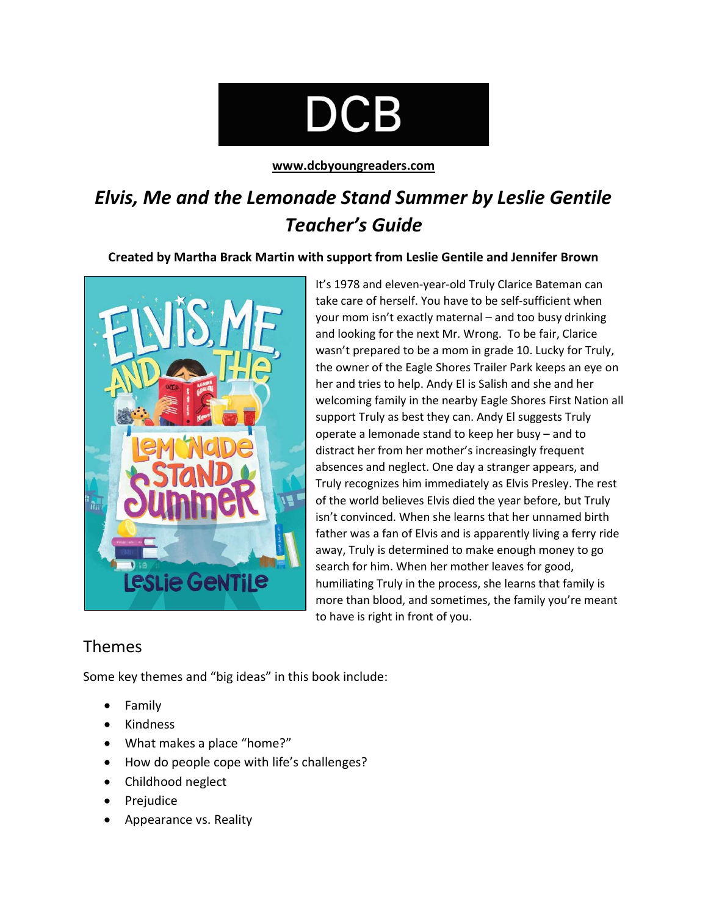# DCB

#### www.dcbyoungreaders.com

## Elvis, Me and the Lemonade Stand Summer by Leslie Gentile Teacher's Guide

#### Created by Martha Brack Martin with support from Leslie Gentile and Jennifer Brown



It's 1978 and eleven-year-old Truly Clarice Bateman can take care of herself. You have to be self-sufficient when your mom isn't exactly maternal – and too busy drinking and looking for the next Mr. Wrong. To be fair, Clarice wasn't prepared to be a mom in grade 10. Lucky for Truly, the owner of the Eagle Shores Trailer Park keeps an eye on her and tries to help. Andy El is Salish and she and her welcoming family in the nearby Eagle Shores First Nation all support Truly as best they can. Andy El suggests Truly operate a lemonade stand to keep her busy – and to distract her from her mother's increasingly frequent absences and neglect. One day a stranger appears, and Truly recognizes him immediately as Elvis Presley. The rest of the world believes Elvis died the year before, but Truly isn't convinced. When she learns that her unnamed birth father was a fan of Elvis and is apparently living a ferry ride away, Truly is determined to make enough money to go search for him. When her mother leaves for good, humiliating Truly in the process, she learns that family is more than blood, and sometimes, the family you're meant to have is right in front of you.

## Themes

Some key themes and "big ideas" in this book include:

- Family
- Kindness
- What makes a place "home?"
- How do people cope with life's challenges?
- Childhood neglect
- Prejudice
- Appearance vs. Reality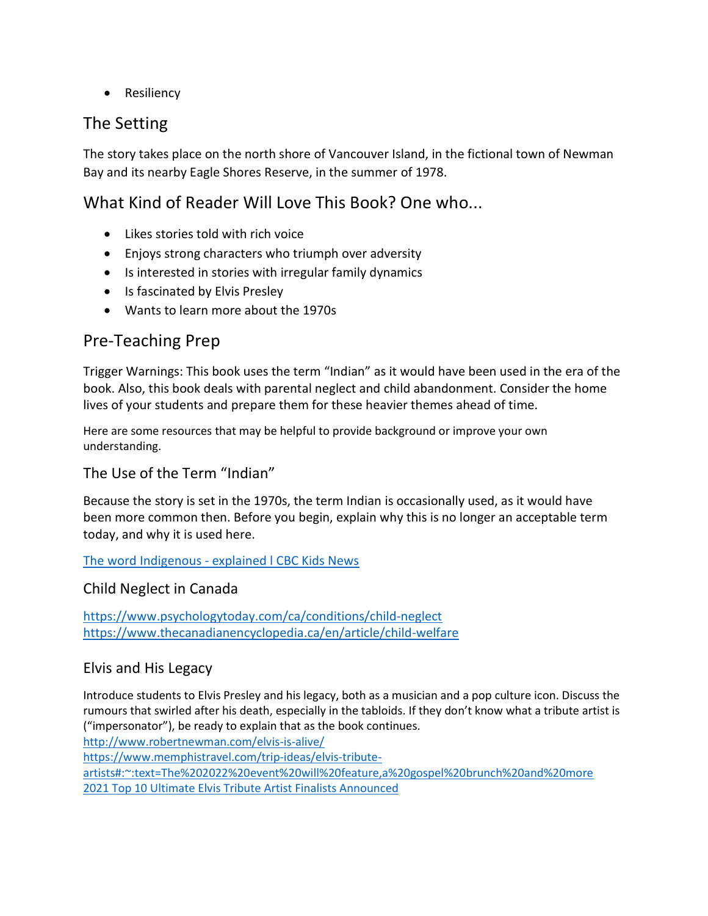• Resiliency

## The Setting

The story takes place on the north shore of Vancouver Island, in the fictional town of Newman Bay and its nearby Eagle Shores Reserve, in the summer of 1978.

## What Kind of Reader Will Love This Book? One who...

- Likes stories told with rich voice
- Enjoys strong characters who triumph over adversity
- Is interested in stories with irregular family dynamics
- Is fascinated by Elvis Presley
- Wants to learn more about the 1970s

## Pre-Teaching Prep

Trigger Warnings: This book uses the term "Indian" as it would have been used in the era of the book. Also, this book deals with parental neglect and child abandonment. Consider the home lives of your students and prepare them for these heavier themes ahead of time.

Here are some resources that may be helpful to provide background or improve your own understanding.

The Use of the Term "Indian"

Because the story is set in the 1970s, the term Indian is occasionally used, as it would have been more common then. Before you begin, explain why this is no longer an acceptable term today, and why it is used here.

#### The word Indigenous - explained l CBC Kids News

#### Child Neglect in Canada

https://www.psychologytoday.com/ca/conditions/child-neglect https://www.thecanadianencyclopedia.ca/en/article/child-welfare

#### Elvis and His Legacy

Introduce students to Elvis Presley and his legacy, both as a musician and a pop culture icon. Discuss the rumours that swirled after his death, especially in the tabloids. If they don't know what a tribute artist is ("impersonator"), be ready to explain that as the book continues.

http://www.robertnewman.com/elvis-is-alive/

https://www.memphistravel.com/trip-ideas/elvis-tribute-

artists#:~:text=The%202022%20event%20will%20feature,a%20gospel%20brunch%20and%20more 2021 Top 10 Ultimate Elvis Tribute Artist Finalists Announced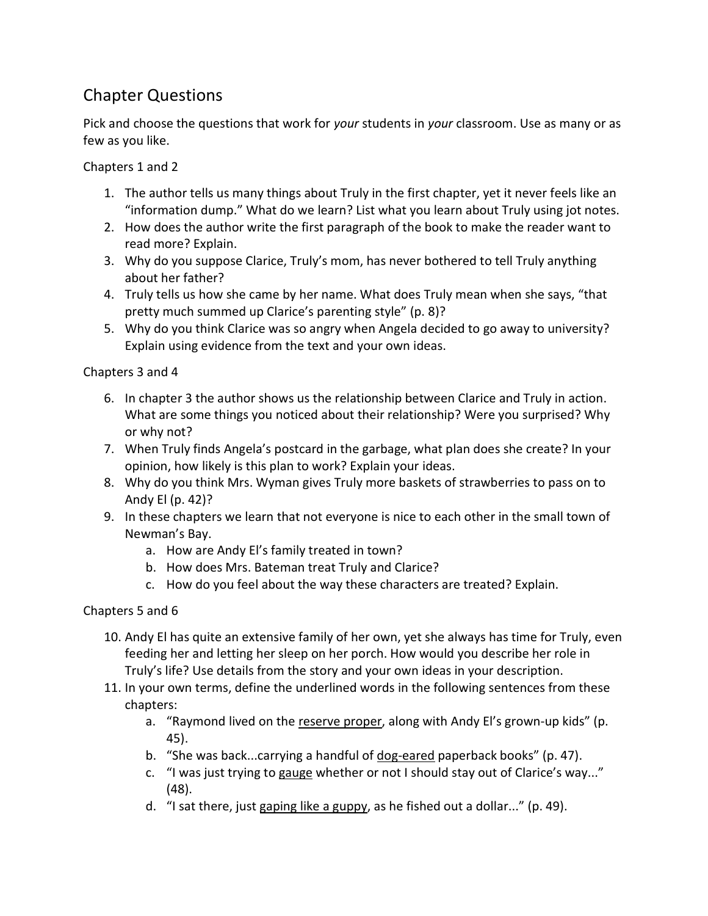## Chapter Questions

Pick and choose the questions that work for your students in your classroom. Use as many or as few as you like.

Chapters 1 and 2

- 1. The author tells us many things about Truly in the first chapter, yet it never feels like an "information dump." What do we learn? List what you learn about Truly using jot notes.
- 2. How does the author write the first paragraph of the book to make the reader want to read more? Explain.
- 3. Why do you suppose Clarice, Truly's mom, has never bothered to tell Truly anything about her father?
- 4. Truly tells us how she came by her name. What does Truly mean when she says, "that pretty much summed up Clarice's parenting style" (p. 8)?
- 5. Why do you think Clarice was so angry when Angela decided to go away to university? Explain using evidence from the text and your own ideas.

Chapters 3 and 4

- 6. In chapter 3 the author shows us the relationship between Clarice and Truly in action. What are some things you noticed about their relationship? Were you surprised? Why or why not?
- 7. When Truly finds Angela's postcard in the garbage, what plan does she create? In your opinion, how likely is this plan to work? Explain your ideas.
- 8. Why do you think Mrs. Wyman gives Truly more baskets of strawberries to pass on to Andy El (p. 42)?
- 9. In these chapters we learn that not everyone is nice to each other in the small town of Newman's Bay.
	- a. How are Andy El's family treated in town?
	- b. How does Mrs. Bateman treat Truly and Clarice?
	- c. How do you feel about the way these characters are treated? Explain.

Chapters 5 and 6

- 10. Andy El has quite an extensive family of her own, yet she always has time for Truly, even feeding her and letting her sleep on her porch. How would you describe her role in Truly's life? Use details from the story and your own ideas in your description.
- 11. In your own terms, define the underlined words in the following sentences from these chapters:
	- a. "Raymond lived on the reserve proper, along with Andy El's grown-up kids" (p. 45).
	- b. "She was back...carrying a handful of dog-eared paperback books" (p. 47).
	- c. "I was just trying to gauge whether or not I should stay out of Clarice's way..." (48).
	- d. "I sat there, just gaping like a guppy, as he fished out a dollar..." (p. 49).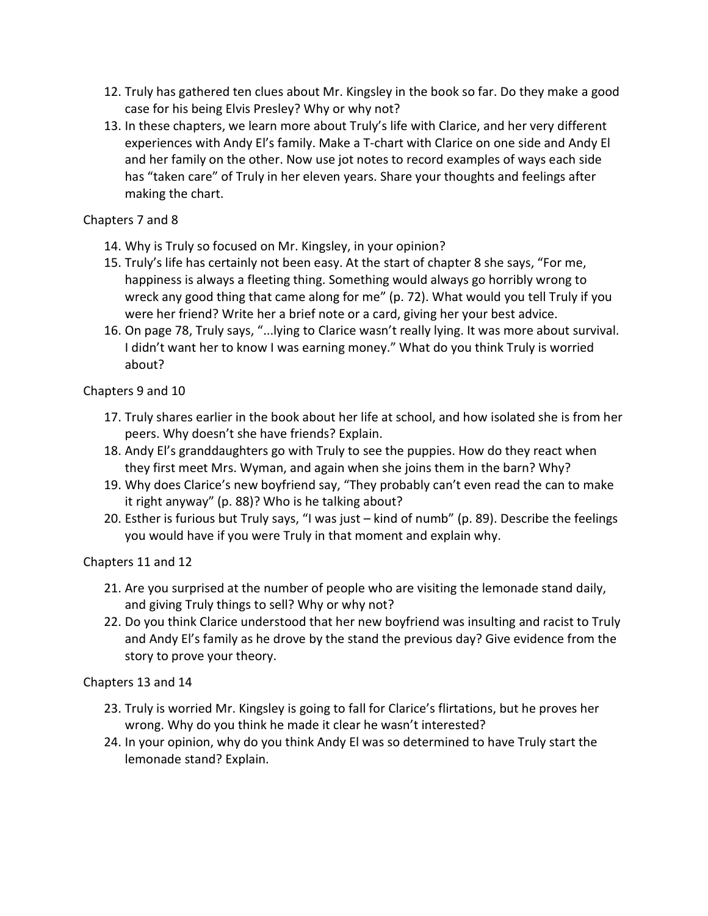- 12. Truly has gathered ten clues about Mr. Kingsley in the book so far. Do they make a good case for his being Elvis Presley? Why or why not?
- 13. In these chapters, we learn more about Truly's life with Clarice, and her very different experiences with Andy El's family. Make a T-chart with Clarice on one side and Andy El and her family on the other. Now use jot notes to record examples of ways each side has "taken care" of Truly in her eleven years. Share your thoughts and feelings after making the chart.

#### Chapters 7 and 8

- 14. Why is Truly so focused on Mr. Kingsley, in your opinion?
- 15. Truly's life has certainly not been easy. At the start of chapter 8 she says, "For me, happiness is always a fleeting thing. Something would always go horribly wrong to wreck any good thing that came along for me" (p. 72). What would you tell Truly if you were her friend? Write her a brief note or a card, giving her your best advice.
- 16. On page 78, Truly says, "...lying to Clarice wasn't really lying. It was more about survival. I didn't want her to know I was earning money." What do you think Truly is worried about?

#### Chapters 9 and 10

- 17. Truly shares earlier in the book about her life at school, and how isolated she is from her peers. Why doesn't she have friends? Explain.
- 18. Andy El's granddaughters go with Truly to see the puppies. How do they react when they first meet Mrs. Wyman, and again when she joins them in the barn? Why?
- 19. Why does Clarice's new boyfriend say, "They probably can't even read the can to make it right anyway" (p. 88)? Who is he talking about?
- 20. Esther is furious but Truly says, "I was just kind of numb" (p. 89). Describe the feelings you would have if you were Truly in that moment and explain why.

#### Chapters 11 and 12

- 21. Are you surprised at the number of people who are visiting the lemonade stand daily, and giving Truly things to sell? Why or why not?
- 22. Do you think Clarice understood that her new boyfriend was insulting and racist to Truly and Andy El's family as he drove by the stand the previous day? Give evidence from the story to prove your theory.

#### Chapters 13 and 14

- 23. Truly is worried Mr. Kingsley is going to fall for Clarice's flirtations, but he proves her wrong. Why do you think he made it clear he wasn't interested?
- 24. In your opinion, why do you think Andy El was so determined to have Truly start the lemonade stand? Explain.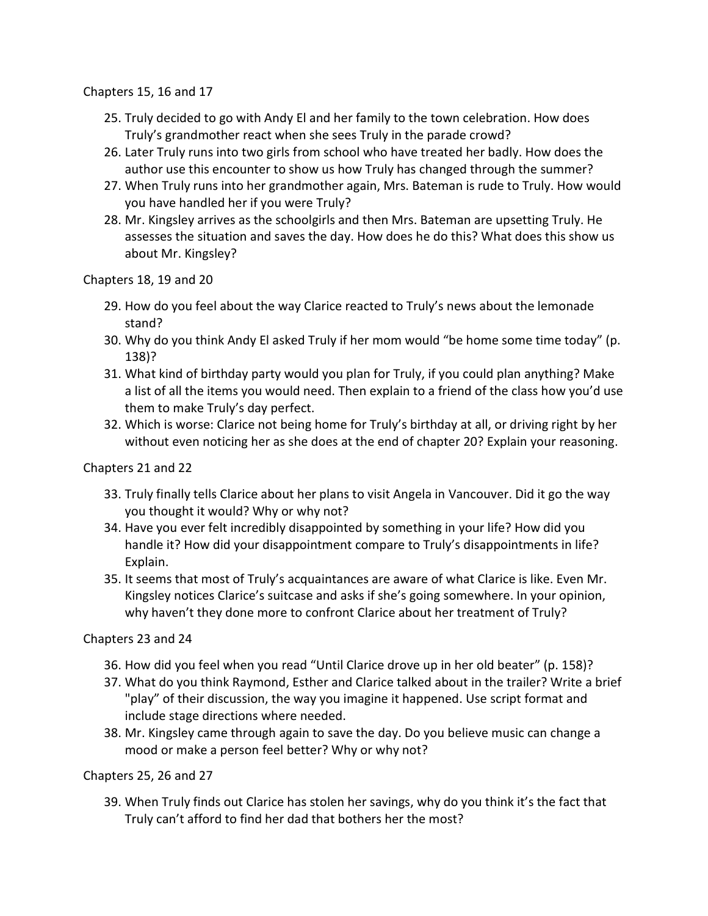Chapters 15, 16 and 17

- 25. Truly decided to go with Andy El and her family to the town celebration. How does Truly's grandmother react when she sees Truly in the parade crowd?
- 26. Later Truly runs into two girls from school who have treated her badly. How does the author use this encounter to show us how Truly has changed through the summer?
- 27. When Truly runs into her grandmother again, Mrs. Bateman is rude to Truly. How would you have handled her if you were Truly?
- 28. Mr. Kingsley arrives as the schoolgirls and then Mrs. Bateman are upsetting Truly. He assesses the situation and saves the day. How does he do this? What does this show us about Mr. Kingsley?

Chapters 18, 19 and 20

- 29. How do you feel about the way Clarice reacted to Truly's news about the lemonade stand?
- 30. Why do you think Andy El asked Truly if her mom would "be home some time today" (p. 138)?
- 31. What kind of birthday party would you plan for Truly, if you could plan anything? Make a list of all the items you would need. Then explain to a friend of the class how you'd use them to make Truly's day perfect.
- 32. Which is worse: Clarice not being home for Truly's birthday at all, or driving right by her without even noticing her as she does at the end of chapter 20? Explain your reasoning.

Chapters 21 and 22

- 33. Truly finally tells Clarice about her plans to visit Angela in Vancouver. Did it go the way you thought it would? Why or why not?
- 34. Have you ever felt incredibly disappointed by something in your life? How did you handle it? How did your disappointment compare to Truly's disappointments in life? Explain.
- 35. It seems that most of Truly's acquaintances are aware of what Clarice is like. Even Mr. Kingsley notices Clarice's suitcase and asks if she's going somewhere. In your opinion, why haven't they done more to confront Clarice about her treatment of Truly?

Chapters 23 and 24

- 36. How did you feel when you read "Until Clarice drove up in her old beater" (p. 158)?
- 37. What do you think Raymond, Esther and Clarice talked about in the trailer? Write a brief "play" of their discussion, the way you imagine it happened. Use script format and include stage directions where needed.
- 38. Mr. Kingsley came through again to save the day. Do you believe music can change a mood or make a person feel better? Why or why not?

Chapters 25, 26 and 27

39. When Truly finds out Clarice has stolen her savings, why do you think it's the fact that Truly can't afford to find her dad that bothers her the most?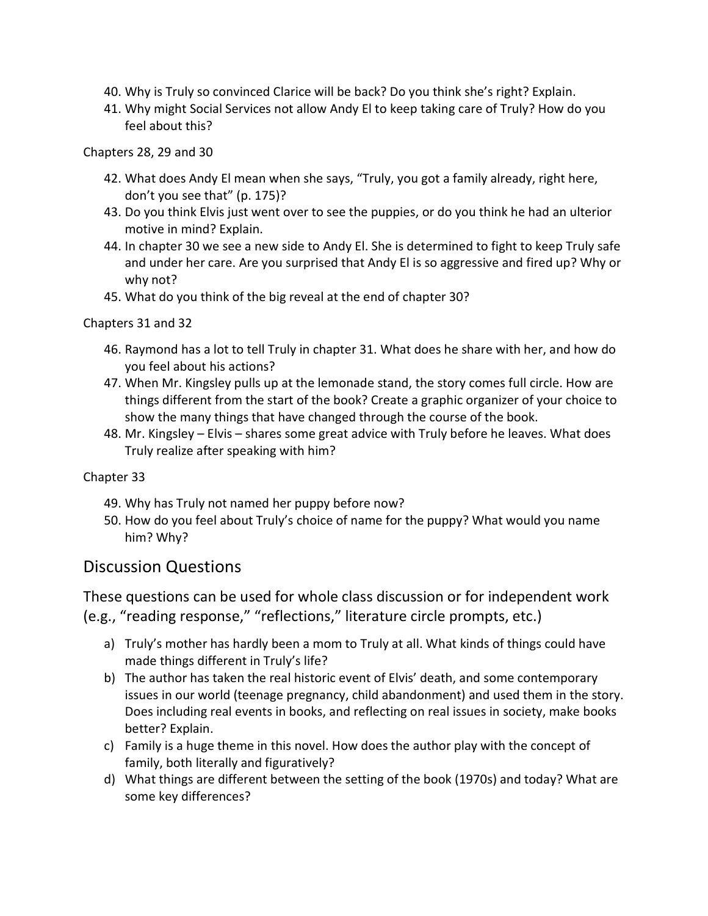- 40. Why is Truly so convinced Clarice will be back? Do you think she's right? Explain.
- 41. Why might Social Services not allow Andy El to keep taking care of Truly? How do you feel about this?

Chapters 28, 29 and 30

- 42. What does Andy El mean when she says, "Truly, you got a family already, right here, don't you see that" (p. 175)?
- 43. Do you think Elvis just went over to see the puppies, or do you think he had an ulterior motive in mind? Explain.
- 44. In chapter 30 we see a new side to Andy El. She is determined to fight to keep Truly safe and under her care. Are you surprised that Andy El is so aggressive and fired up? Why or why not?
- 45. What do you think of the big reveal at the end of chapter 30?

Chapters 31 and 32

- 46. Raymond has a lot to tell Truly in chapter 31. What does he share with her, and how do you feel about his actions?
- 47. When Mr. Kingsley pulls up at the lemonade stand, the story comes full circle. How are things different from the start of the book? Create a graphic organizer of your choice to show the many things that have changed through the course of the book.
- 48. Mr. Kingsley Elvis shares some great advice with Truly before he leaves. What does Truly realize after speaking with him?

Chapter 33

- 49. Why has Truly not named her puppy before now?
- 50. How do you feel about Truly's choice of name for the puppy? What would you name him? Why?

#### Discussion Questions

These questions can be used for whole class discussion or for independent work (e.g., "reading response," "reflections," literature circle prompts, etc.)

- a) Truly's mother has hardly been a mom to Truly at all. What kinds of things could have made things different in Truly's life?
- b) The author has taken the real historic event of Elvis' death, and some contemporary issues in our world (teenage pregnancy, child abandonment) and used them in the story. Does including real events in books, and reflecting on real issues in society, make books better? Explain.
- c) Family is a huge theme in this novel. How does the author play with the concept of family, both literally and figuratively?
- d) What things are different between the setting of the book (1970s) and today? What are some key differences?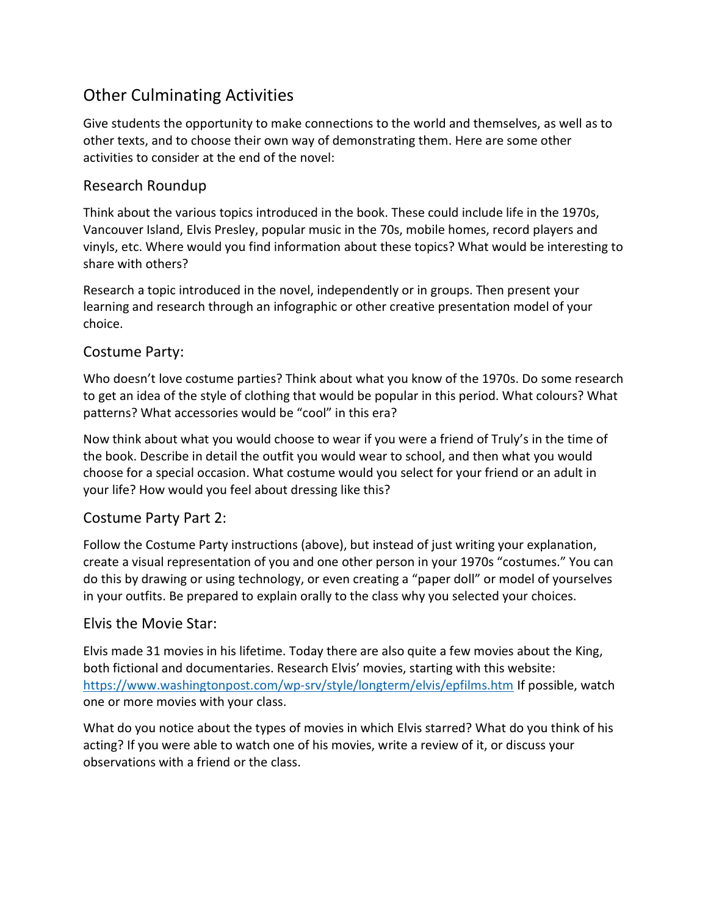## Other Culminating Activities

Give students the opportunity to make connections to the world and themselves, as well as to other texts, and to choose their own way of demonstrating them. Here are some other activities to consider at the end of the novel:

#### Research Roundup

Think about the various topics introduced in the book. These could include life in the 1970s, Vancouver Island, Elvis Presley, popular music in the 70s, mobile homes, record players and vinyls, etc. Where would you find information about these topics? What would be interesting to share with others?

Research a topic introduced in the novel, independently or in groups. Then present your learning and research through an infographic or other creative presentation model of your choice.

#### Costume Party:

Who doesn't love costume parties? Think about what you know of the 1970s. Do some research to get an idea of the style of clothing that would be popular in this period. What colours? What patterns? What accessories would be "cool" in this era?

Now think about what you would choose to wear if you were a friend of Truly's in the time of the book. Describe in detail the outfit you would wear to school, and then what you would choose for a special occasion. What costume would you select for your friend or an adult in your life? How would you feel about dressing like this?

#### Costume Party Part 2:

Follow the Costume Party instructions (above), but instead of just writing your explanation, create a visual representation of you and one other person in your 1970s "costumes." You can do this by drawing or using technology, or even creating a "paper doll" or model of yourselves in your outfits. Be prepared to explain orally to the class why you selected your choices.

#### Elvis the Movie Star:

Elvis made 31 movies in his lifetime. Today there are also quite a few movies about the King, both fictional and documentaries. Research Elvis' movies, starting with this website: https://www.washingtonpost.com/wp-srv/style/longterm/elvis/epfilms.htm If possible, watch one or more movies with your class.

What do you notice about the types of movies in which Elvis starred? What do you think of his acting? If you were able to watch one of his movies, write a review of it, or discuss your observations with a friend or the class.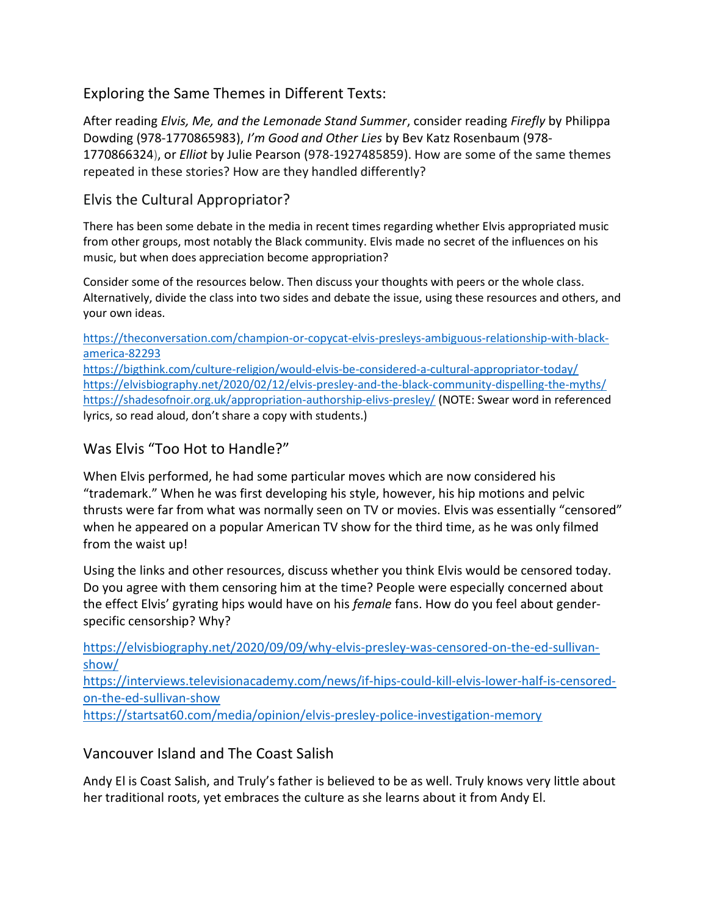#### Exploring the Same Themes in Different Texts:

After reading Elvis, Me, and the Lemonade Stand Summer, consider reading Firefly by Philippa Dowding (978-1770865983), I'm Good and Other Lies by Bev Katz Rosenbaum (978- 1770866324), or Elliot by Julie Pearson (978-1927485859). How are some of the same themes repeated in these stories? How are they handled differently?

#### Elvis the Cultural Appropriator?

There has been some debate in the media in recent times regarding whether Elvis appropriated music from other groups, most notably the Black community. Elvis made no secret of the influences on his music, but when does appreciation become appropriation?

Consider some of the resources below. Then discuss your thoughts with peers or the whole class. Alternatively, divide the class into two sides and debate the issue, using these resources and others, and your own ideas.

https://theconversation.com/champion-or-copycat-elvis-presleys-ambiguous-relationship-with-blackamerica-82293 https://bigthink.com/culture-religion/would-elvis-be-considered-a-cultural-appropriator-today/ https://elvisbiography.net/2020/02/12/elvis-presley-and-the-black-community-dispelling-the-myths/ https://shadesofnoir.org.uk/appropriation-authorship-elivs-presley/ (NOTE: Swear word in referenced lyrics, so read aloud, don't share a copy with students.)

#### Was Elvis "Too Hot to Handle?"

When Elvis performed, he had some particular moves which are now considered his "trademark." When he was first developing his style, however, his hip motions and pelvic thrusts were far from what was normally seen on TV or movies. Elvis was essentially "censored" when he appeared on a popular American TV show for the third time, as he was only filmed from the waist up!

Using the links and other resources, discuss whether you think Elvis would be censored today. Do you agree with them censoring him at the time? People were especially concerned about the effect Elvis' gyrating hips would have on his female fans. How do you feel about genderspecific censorship? Why?

https://elvisbiography.net/2020/09/09/why-elvis-presley-was-censored-on-the-ed-sullivanshow/

https://interviews.televisionacademy.com/news/if-hips-could-kill-elvis-lower-half-is-censoredon-the-ed-sullivan-show

https://startsat60.com/media/opinion/elvis-presley-police-investigation-memory

#### Vancouver Island and The Coast Salish

Andy El is Coast Salish, and Truly's father is believed to be as well. Truly knows very little about her traditional roots, yet embraces the culture as she learns about it from Andy El.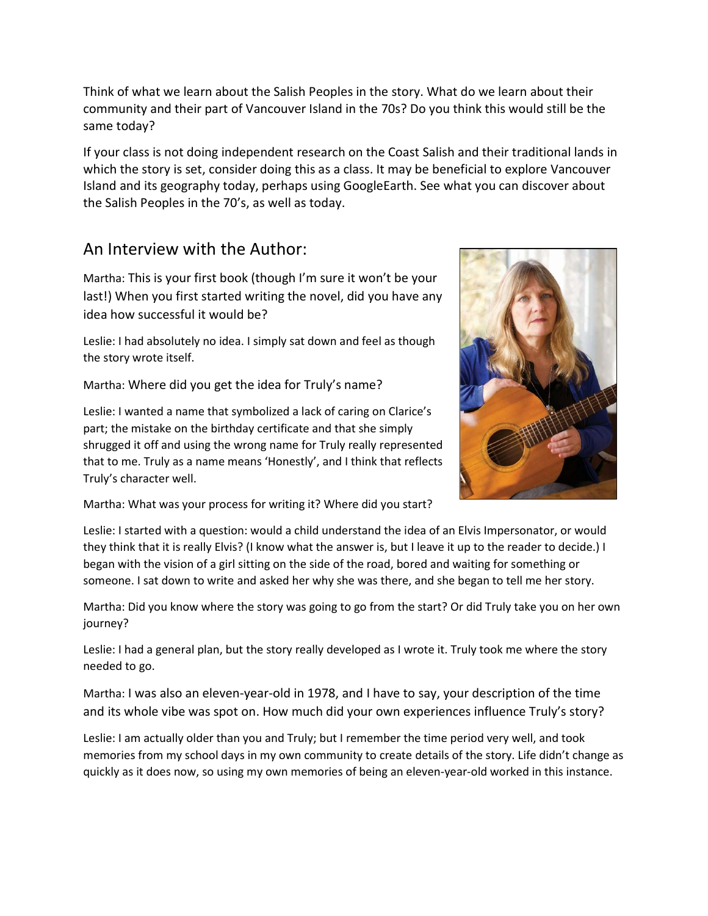Think of what we learn about the Salish Peoples in the story. What do we learn about their community and their part of Vancouver Island in the 70s? Do you think this would still be the same today?

If your class is not doing independent research on the Coast Salish and their traditional lands in which the story is set, consider doing this as a class. It may be beneficial to explore Vancouver Island and its geography today, perhaps using GoogleEarth. See what you can discover about the Salish Peoples in the 70's, as well as today.

## An Interview with the Author:

Martha: This is your first book (though I'm sure it won't be your last!) When you first started writing the novel, did you have any idea how successful it would be?

Leslie: I had absolutely no idea. I simply sat down and feel as though the story wrote itself.

Martha: Where did you get the idea for Truly's name?

Leslie: I wanted a name that symbolized a lack of caring on Clarice's part; the mistake on the birthday certificate and that she simply shrugged it off and using the wrong name for Truly really represented that to me. Truly as a name means 'Honestly', and I think that reflects Truly's character well.

Martha: What was your process for writing it? Where did you start?

Leslie: I started with a question: would a child understand the idea of an Elvis Impersonator, or would they think that it is really Elvis? (I know what the answer is, but I leave it up to the reader to decide.) I began with the vision of a girl sitting on the side of the road, bored and waiting for something or someone. I sat down to write and asked her why she was there, and she began to tell me her story.

Martha: Did you know where the story was going to go from the start? Or did Truly take you on her own journey?

Leslie: I had a general plan, but the story really developed as I wrote it. Truly took me where the story needed to go.

Martha: I was also an eleven-year-old in 1978, and I have to say, your description of the time and its whole vibe was spot on. How much did your own experiences influence Truly's story?

Leslie: I am actually older than you and Truly; but I remember the time period very well, and took memories from my school days in my own community to create details of the story. Life didn't change as quickly as it does now, so using my own memories of being an eleven-year-old worked in this instance.

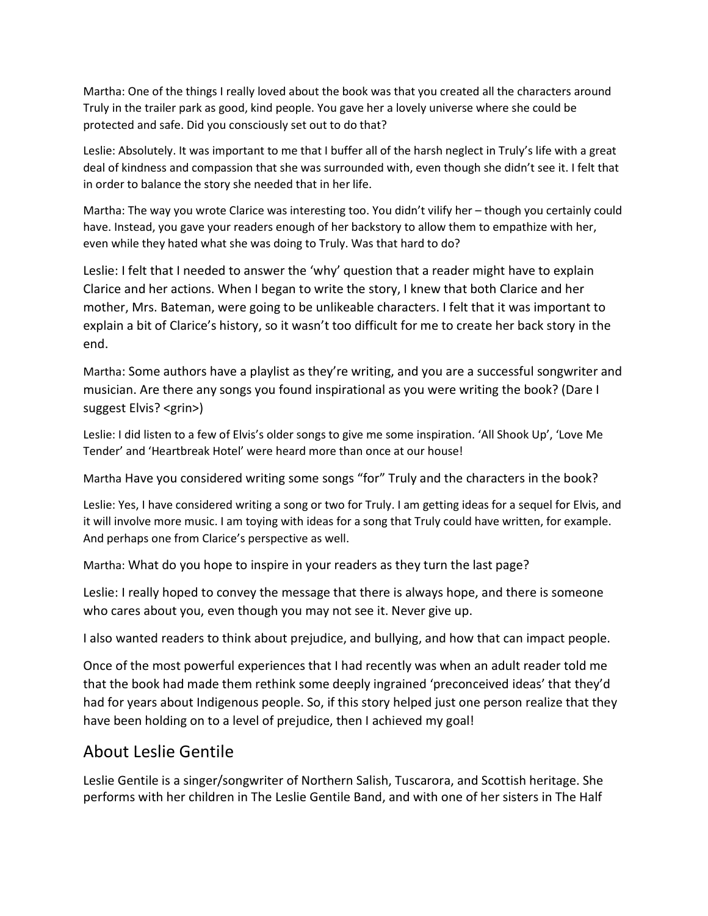Martha: One of the things I really loved about the book was that you created all the characters around Truly in the trailer park as good, kind people. You gave her a lovely universe where she could be protected and safe. Did you consciously set out to do that?

Leslie: Absolutely. It was important to me that I buffer all of the harsh neglect in Truly's life with a great deal of kindness and compassion that she was surrounded with, even though she didn't see it. I felt that in order to balance the story she needed that in her life.

Martha: The way you wrote Clarice was interesting too. You didn't vilify her – though you certainly could have. Instead, you gave your readers enough of her backstory to allow them to empathize with her, even while they hated what she was doing to Truly. Was that hard to do?

Leslie: I felt that I needed to answer the 'why' question that a reader might have to explain Clarice and her actions. When I began to write the story, I knew that both Clarice and her mother, Mrs. Bateman, were going to be unlikeable characters. I felt that it was important to explain a bit of Clarice's history, so it wasn't too difficult for me to create her back story in the end.

Martha: Some authors have a playlist as they're writing, and you are a successful songwriter and musician. Are there any songs you found inspirational as you were writing the book? (Dare I suggest Elvis? <grin>)

Leslie: I did listen to a few of Elvis's older songs to give me some inspiration. 'All Shook Up', 'Love Me Tender' and 'Heartbreak Hotel' were heard more than once at our house!

Martha Have you considered writing some songs "for" Truly and the characters in the book?

Leslie: Yes, I have considered writing a song or two for Truly. I am getting ideas for a sequel for Elvis, and it will involve more music. I am toying with ideas for a song that Truly could have written, for example. And perhaps one from Clarice's perspective as well.

Martha: What do you hope to inspire in your readers as they turn the last page?

Leslie: I really hoped to convey the message that there is always hope, and there is someone who cares about you, even though you may not see it. Never give up.

I also wanted readers to think about prejudice, and bullying, and how that can impact people.

Once of the most powerful experiences that I had recently was when an adult reader told me that the book had made them rethink some deeply ingrained 'preconceived ideas' that they'd had for years about Indigenous people. So, if this story helped just one person realize that they have been holding on to a level of prejudice, then I achieved my goal!

### About Leslie Gentile

Leslie Gentile is a singer/songwriter of Northern Salish, Tuscarora, and Scottish heritage. She performs with her children in The Leslie Gentile Band, and with one of her sisters in The Half